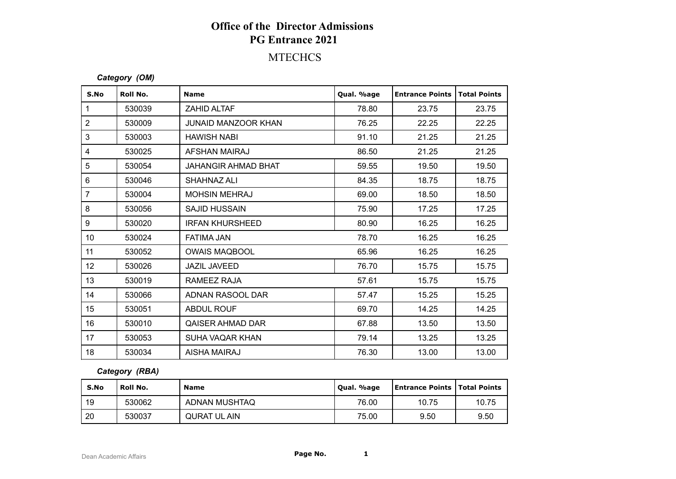## **Office of the Director Admissions PG Entrance 2021**

### **MTECHCS**

#### *Category (OM)*

| S.No           | Roll No. | <b>Name</b>                | Qual. %age | <b>Entrance Points</b> | <b>Total Points</b> |
|----------------|----------|----------------------------|------------|------------------------|---------------------|
| $\mathbf{1}$   | 530039   | <b>ZAHID ALTAF</b>         | 78.80      | 23.75                  | 23.75               |
| $\overline{2}$ | 530009   | <b>JUNAID MANZOOR KHAN</b> | 76.25      | 22.25                  | 22.25               |
| 3              | 530003   | <b>HAWISH NABI</b>         | 91.10      | 21.25                  | 21.25               |
| 4              | 530025   | AFSHAN MAIRAJ              | 86.50      | 21.25                  | 21.25               |
| 5              | 530054   | <b>JAHANGIR AHMAD BHAT</b> | 59.55      | 19.50                  | 19.50               |
| $\,6\,$        | 530046   | SHAHNAZ ALI                | 84.35      | 18.75                  | 18.75               |
| $\overline{7}$ | 530004   | <b>MOHSIN MEHRAJ</b>       | 69.00      | 18.50                  | 18.50               |
| 8              | 530056   | <b>SAJID HUSSAIN</b>       | 75.90      | 17.25                  | 17.25               |
| 9              | 530020   | <b>IRFAN KHURSHEED</b>     | 80.90      | 16.25                  | 16.25               |
| 10             | 530024   | <b>FATIMA JAN</b>          | 78.70      | 16.25                  | 16.25               |
| 11             | 530052   | <b>OWAIS MAQBOOL</b>       | 65.96      | 16.25                  | 16.25               |
| 12             | 530026   | <b>JAZIL JAVEED</b>        | 76.70      | 15.75                  | 15.75               |
| 13             | 530019   | RAMEEZ RAJA                | 57.61      | 15.75                  | 15.75               |
| 14             | 530066   | ADNAN RASOOL DAR           | 57.47      | 15.25                  | 15.25               |
| 15             | 530051   | <b>ABDUL ROUF</b>          | 69.70      | 14.25                  | 14.25               |
| 16             | 530010   | <b>QAISER AHMAD DAR</b>    | 67.88      | 13.50                  | 13.50               |
| 17             | 530053   | <b>SUHA VAQAR KHAN</b>     | 79.14      | 13.25                  | 13.25               |
| 18             | 530034   | <b>AISHA MAIRAJ</b>        | 76.30      | 13.00                  | 13.00               |

#### *Category (RBA)*

| S.No | <b>Roll No.</b> | <b>Name</b>   | Qual. %age | <b>Entrance Points   Total Points</b> |       |
|------|-----------------|---------------|------------|---------------------------------------|-------|
| 19   | 530062          | ADNAN MUSHTAQ | 76.00      | 10.75                                 | 10.75 |
| 20   | 530037          | QURAT UL AIN  | 75.00      | 9.50                                  | 9.50  |